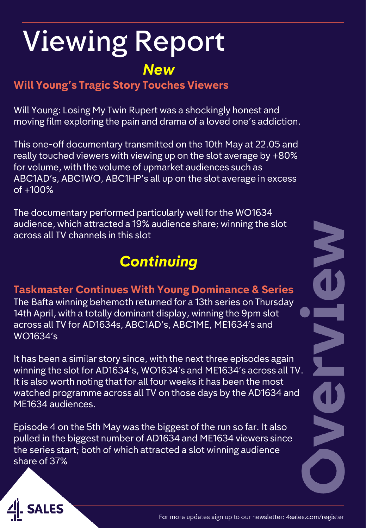# Viewing Report *New*

**Will Young's Tragic Story Touches Viewers**

Will Young: Losing My Twin Rupert was a shockingly honest and moving film exploring the pain and drama of a loved one's addiction.

This one-off documentary transmitted on the 10th May at 22.05 and really touched viewers with viewing up on the slot average by +80% for volume, with the volume of upmarket audiences such as ABC1AD's, ABC1WO, ABC1HP's all up on the slot average in excess of +100%

The documentary performed particularly well for the WO1634 audience, which attracted a 19% audience share; winning the slot across all TV channels in this slot

### *Continuing*

#### **Taskmaster Continues With Young Dominance & Series**

The Bafta winning behemoth returned for a 13th series on Thursday 14th April, with a totally dominant display, winning the 9pm slot across all TV for AD1634s, ABC1AD's, ABC1ME, ME1634's and WO1634's

It has been a similar story since, with the next three episodes again winning the slot for AD1634's, WO1634's and ME1634's across all TV. It is also worth noting that for all four weeks it has been the most watched programme across all TV on those days by the AD1634 and ME1634 audiences.

Episode 4 on the 5th May was the biggest of the run so far. It also pulled in the biggest number of AD1634 and ME1634 viewers since the series start; both of which attracted a slot winning audience share of 37%



N<br>O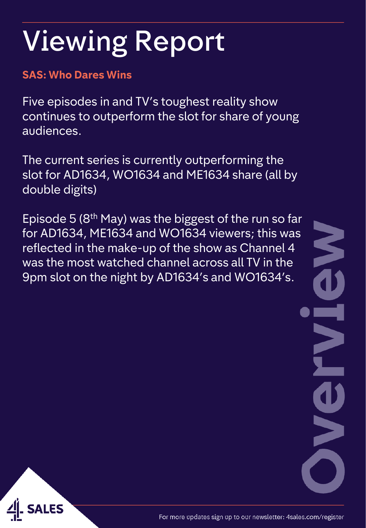#### **SAS: Who Dares Wins**

Five episodes in and TV's toughest reality show continues to outperform the slot for share of young audiences.

The current series is currently outperforming the slot for AD1634, WO1634 and ME1634 share (all by double digits)

Episode 5 (8th May) was the biggest of the run so far for AD1634, ME1634 and WO1634 viewers; this was reflected in the make-up of the show as Channel 4 was the most watched channel across all TV in the 9pm slot on the night by AD1634's and WO1634's.

S

E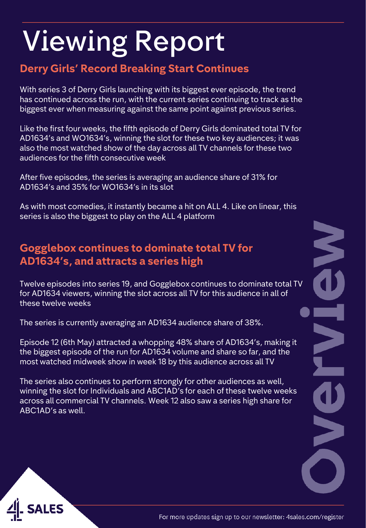#### **Derry Girls' Record Breaking Start Continues**

With series 3 of Derry Girls launching with its biggest ever episode, the trend has continued across the run, with the current series continuing to track as the biggest ever when measuring against the same point against previous series.

Like the first four weeks, the fifth episode of Derry Girls dominated total TV for AD1634's and WO1634's, winning the slot for these two key audiences; it was also the most watched show of the day across all TV channels for these two audiences for the fifth consecutive week

After five episodes, the series is averaging an audience share of 31% for AD1634's and 35% for WO1634's in its slot

As with most comedies, it instantly became a hit on ALL 4. Like on linear, this series is also the biggest to play on the ALL 4 platform

#### **Gogglebox continues to dominate total TV for AD1634's, and attracts a series high**

Twelve episodes into series 19, and Gogglebox continues to dominate total TV for AD1634 viewers, winning the slot across all TV for this audience in all of these twelve weeks

The series is currently averaging an AD1634 audience share of 38%.

Episode 12 (6th May) attracted a whopping 48% share of AD1634's, making it the biggest episode of the run for AD1634 volume and share so far, and the most watched midweek show in week 18 by this audience across all TV

The series also continues to perform strongly for other audiences as well, winning the slot for Individuals and ABC1AD's for each of these twelve weeks across all commercial TV channels. Week 12 also saw a series high share for ABC1AD's as well.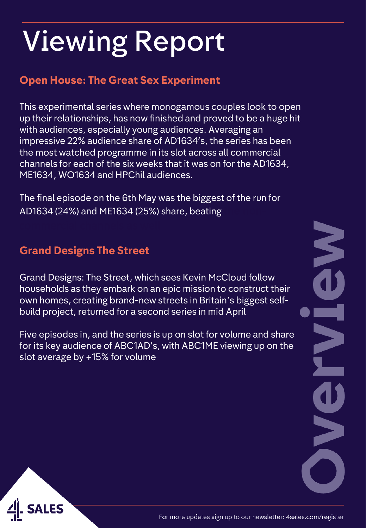#### **Open House: The Great Sex Experiment**

This experimental series where monogamous couples look to open up their relationships, has now finished and proved to be a huge hit with audiences, especially young audiences. Averaging an impressive 22% audience share of AD1634's, the series has been the most watched programme in its slot across all commercial channels for each of the six weeks that it was on for the AD1634, ME1634, WO1634 and HPChil audiences.

The final episode on the 6th May was the biggest of the run for AD1634 (24%) and ME1634 (25%) share, beating

#### **Grand Designs The Street**

Grand Designs: The Street, which sees Kevin McCloud follow households as they embark on an epic mission to construct their own homes, creating brand-new streets in Britain's biggest selfbuild project, returned for a second series in mid April

Five episodes in, and the series is up on slot for volume and share for its key audience of ABC1AD's, with ABC1ME viewing up on the slot average by +15% for volume

N CONTROL 

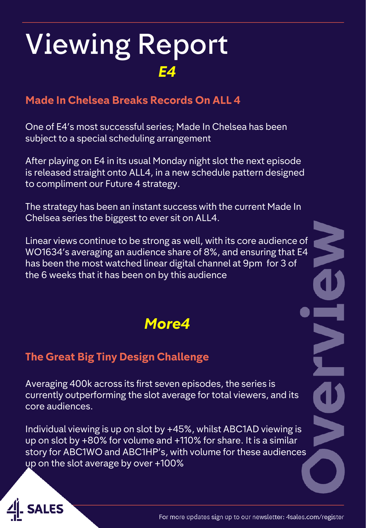#### **Made In Chelsea Breaks Records On ALL 4**

One of E4's most successful series; Made In Chelsea has been subject to a special scheduling arrangement

After playing on E4 in its usual Monday night slot the next episode is released straight onto ALL4, in a new schedule pattern designed to compliment our Future 4 strategy.

The strategy has been an instant success with the current Made In Chelsea series the biggest to ever sit on ALL4.

Linear views continue to be strong as well, with its core audience of WO1634's averaging an audience share of 8%, and ensuring that E4 has been the most watched linear digital channel at 9pm for 3 of the 6 weeks that it has been on by this audience

#### *More4*

#### **The Great Big Tiny Design Challenge**

Averaging 400k across its first seven episodes, the series is currently outperforming the slot average for total viewers, and its core audiences.

Individual viewing is up on slot by +45%, whilst ABC1AD viewing is up on slot by +80% for volume and +110% for share. It is a similar story for ABC1WO and ABC1HP's, with volume for these audiences up on the slot average by over +100%

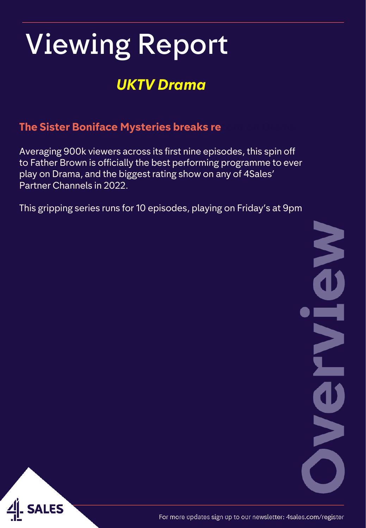### *UKTV Drama*

#### **The Sister Boniface Mysteries breaks re**

Averaging 900k viewers across its first nine episodes, this spin off to Father Brown is officially the best performing programme to ever play on Drama, and the biggest rating show on any of 4Sales' Partner Channels in 2022.

This gripping series runs for 10 episodes, playing on Friday's at 9pm

N<br>J EN **NKC** 



For more updates sign up to our newsletter: 4sales.com/register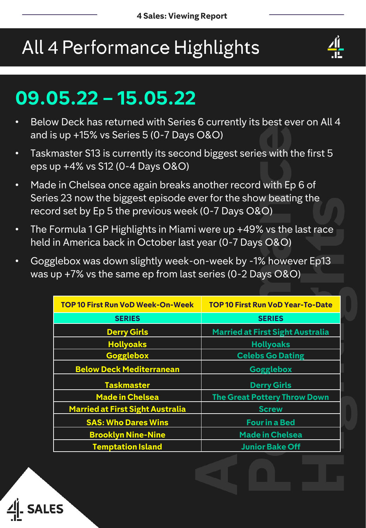## All 4 Performance Highlights



## **09.05.22 – 15.05.22**

- Below Deck has returned with Series 6 currently its best ever on All 4 and is up +15% vs Series 5 (0-7 Days O&O)
- Taskmaster S13 is currently its second biggest series with the first 5 eps up +4% vs S12 (0-4 Days O&O)
- Made in Chelsea once again breaks another record with Ep 6 of Series 23 now the biggest episode ever for the show beating the record set by Ep 5 the previous week (0-7 Days O&O)
- The Formula 1 GP Highlights in Miami were up +49% vs the last race held in America back in October last year (0-7 Days O&O)
- Gogglebox was down slightly week-on-week by -1% however Ep13 was up +7% vs the same ep from last series (0-2 Days O&O)

| <b>TOP 10 First Run VoD Week-On-Week</b> | <b>TOP 10 First Run VoD Year-To-Date</b> |
|------------------------------------------|------------------------------------------|
| <b>SERIES</b>                            | <b>SERIES</b>                            |
| <b>Derry Girls</b>                       | <b>Married at First Sight Australia</b>  |
| <b>Hollyoaks</b>                         | <b>Hollyoaks</b>                         |
| <b>Gogglebox</b>                         | <b>Celebs Go Dating</b>                  |
| <b>Below Deck Mediterranean</b>          | <b>Gogglebox</b>                         |
| <b>Taskmaster</b>                        | <b>Derry Girls</b>                       |
| <b>Made in Chelsea</b>                   | <b>The Great Pottery Throw Down</b>      |
| <b>Married at First Sight Australia</b>  | <b>Screw</b>                             |
| <b>SAS: Who Dares Wins</b>               | <b>Four in a Bed</b>                     |
| <b>Brooklyn Nine-Nine</b>                | <b>Made in Chelsea</b>                   |
| <b>Temptation Island</b>                 | <b>Junior Bake Off</b>                   |